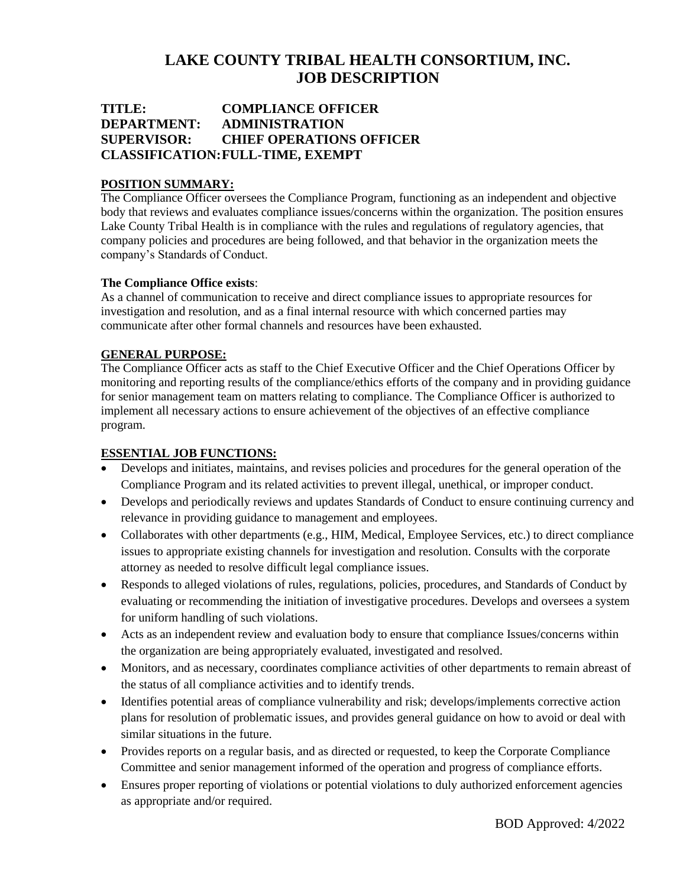# **LAKE COUNTY TRIBAL HEALTH CONSORTIUM, INC. JOB DESCRIPTION**

## **TITLE: COMPLIANCE OFFICER DEPARTMENT: ADMINISTRATION SUPERVISOR: CHIEF OPERATIONS OFFICER CLASSIFICATION:FULL-TIME, EXEMPT**

## **POSITION SUMMARY:**

The Compliance Officer oversees the Compliance Program, functioning as an independent and objective body that reviews and evaluates compliance issues/concerns within the organization. The position ensures Lake County Tribal Health is in compliance with the rules and regulations of regulatory agencies, that company policies and procedures are being followed, and that behavior in the organization meets the company's Standards of Conduct.

## **The Compliance Office exists**:

As a channel of communication to receive and direct compliance issues to appropriate resources for investigation and resolution, and as a final internal resource with which concerned parties may communicate after other formal channels and resources have been exhausted.

## **GENERAL PURPOSE:**

The Compliance Officer acts as staff to the Chief Executive Officer and the Chief Operations Officer by monitoring and reporting results of the compliance/ethics efforts of the company and in providing guidance for senior management team on matters relating to compliance. The Compliance Officer is authorized to implement all necessary actions to ensure achievement of the objectives of an effective compliance program.

## **ESSENTIAL JOB FUNCTIONS:**

- Develops and initiates, maintains, and revises policies and procedures for the general operation of the Compliance Program and its related activities to prevent illegal, unethical, or improper conduct.
- Develops and periodically reviews and updates Standards of Conduct to ensure continuing currency and relevance in providing guidance to management and employees.
- Collaborates with other departments (e.g., HIM, Medical, Employee Services, etc.) to direct compliance issues to appropriate existing channels for investigation and resolution. Consults with the corporate attorney as needed to resolve difficult legal compliance issues.
- Responds to alleged violations of rules, regulations, policies, procedures, and Standards of Conduct by evaluating or recommending the initiation of investigative procedures. Develops and oversees a system for uniform handling of such violations.
- Acts as an independent review and evaluation body to ensure that compliance Issues/concerns within the organization are being appropriately evaluated, investigated and resolved.
- Monitors, and as necessary, coordinates compliance activities of other departments to remain abreast of the status of all compliance activities and to identify trends.
- Identifies potential areas of compliance vulnerability and risk; develops/implements corrective action plans for resolution of problematic issues, and provides general guidance on how to avoid or deal with similar situations in the future.
- Provides reports on a regular basis, and as directed or requested, to keep the Corporate Compliance Committee and senior management informed of the operation and progress of compliance efforts.
- Ensures proper reporting of violations or potential violations to duly authorized enforcement agencies as appropriate and/or required.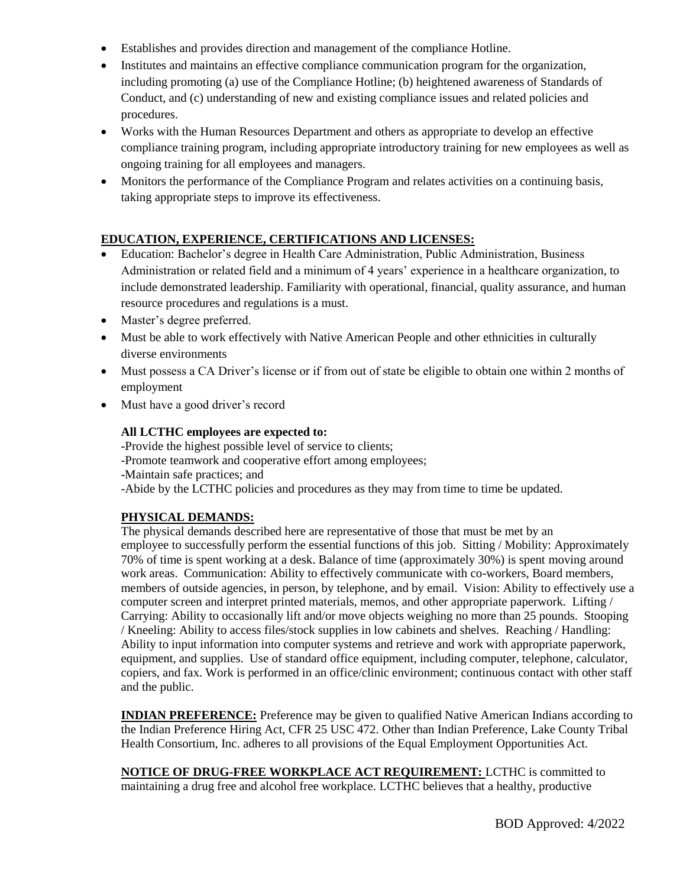- Establishes and provides direction and management of the compliance Hotline.
- Institutes and maintains an effective compliance communication program for the organization, including promoting (a) use of the Compliance Hotline; (b) heightened awareness of Standards of Conduct, and (c) understanding of new and existing compliance issues and related policies and procedures.
- Works with the Human Resources Department and others as appropriate to develop an effective compliance training program, including appropriate introductory training for new employees as well as ongoing training for all employees and managers.
- Monitors the performance of the Compliance Program and relates activities on a continuing basis, taking appropriate steps to improve its effectiveness.

## **EDUCATION, EXPERIENCE, CERTIFICATIONS AND LICENSES:**

- Education: Bachelor's degree in Health Care Administration, Public Administration, Business Administration or related field and a minimum of 4 years' experience in a healthcare organization, to include demonstrated leadership. Familiarity with operational, financial, quality assurance, and human resource procedures and regulations is a must.
- Master's degree preferred.
- Must be able to work effectively with Native American People and other ethnicities in culturally diverse environments
- Must possess a CA Driver's license or if from out of state be eligible to obtain one within 2 months of employment
- Must have a good driver's record

## **All LCTHC employees are expected to:**

-Provide the highest possible level of service to clients; -Promote teamwork and cooperative effort among employees; -Maintain safe practices; and -Abide by the LCTHC policies and procedures as they may from time to time be updated.

## **PHYSICAL DEMANDS:**

The physical demands described here are representative of those that must be met by an employee to successfully perform the essential functions of this job. Sitting / Mobility: Approximately 70% of time is spent working at a desk. Balance of time (approximately 30%) is spent moving around work areas. Communication: Ability to effectively communicate with co-workers, Board members, members of outside agencies, in person, by telephone, and by email. Vision: Ability to effectively use a computer screen and interpret printed materials, memos, and other appropriate paperwork. Lifting / Carrying: Ability to occasionally lift and/or move objects weighing no more than 25 pounds. Stooping / Kneeling: Ability to access files/stock supplies in low cabinets and shelves. Reaching / Handling: Ability to input information into computer systems and retrieve and work with appropriate paperwork, equipment, and supplies. Use of standard office equipment, including computer, telephone, calculator, copiers, and fax. Work is performed in an office/clinic environment; continuous contact with other staff and the public.

**INDIAN PREFERENCE:** Preference may be given to qualified Native American Indians according to the Indian Preference Hiring Act, CFR 25 USC 472. Other than Indian Preference, Lake County Tribal Health Consortium, Inc. adheres to all provisions of the Equal Employment Opportunities Act.

**NOTICE OF DRUG-FREE WORKPLACE ACT REQUIREMENT:** LCTHC is committed to maintaining a drug free and alcohol free workplace. LCTHC believes that a healthy, productive